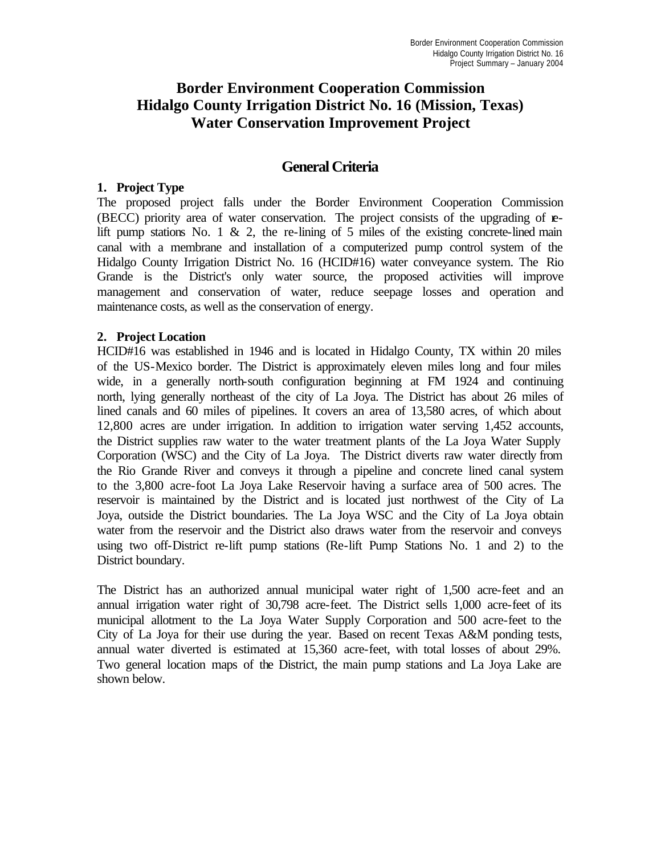## **Border Environment Cooperation Commission Hidalgo County Irrigation District No. 16 (Mission, Texas) Water Conservation Improvement Project**

## **General Criteria**

#### **1. Project Type**

The proposed project falls under the Border Environment Cooperation Commission (BECC) priority area of water conservation. The project consists of the upgrading of **e**lift pump stations No. 1  $\&$  2, the re-lining of 5 miles of the existing concrete-lined main canal with a membrane and installation of a computerized pump control system of the Hidalgo County Irrigation District No. 16 (HCID#16) water conveyance system. The Rio Grande is the District's only water source, the proposed activities will improve management and conservation of water, reduce seepage losses and operation and maintenance costs, as well as the conservation of energy.

#### **2. Project Location**

HCID#16 was established in 1946 and is located in Hidalgo County, TX within 20 miles of the US-Mexico border. The District is approximately eleven miles long and four miles wide, in a generally north-south configuration beginning at FM 1924 and continuing north, lying generally northeast of the city of La Joya. The District has about 26 miles of lined canals and 60 miles of pipelines. It covers an area of 13,580 acres, of which about 12,800 acres are under irrigation. In addition to irrigation water serving 1,452 accounts, the District supplies raw water to the water treatment plants of the La Joya Water Supply Corporation (WSC) and the City of La Joya. The District diverts raw water directly from the Rio Grande River and conveys it through a pipeline and concrete lined canal system to the 3,800 acre-foot La Joya Lake Reservoir having a surface area of 500 acres. The reservoir is maintained by the District and is located just northwest of the City of La Joya, outside the District boundaries. The La Joya WSC and the City of La Joya obtain water from the reservoir and the District also draws water from the reservoir and conveys using two off-District re-lift pump stations (Re-lift Pump Stations No. 1 and 2) to the District boundary.

The District has an authorized annual municipal water right of 1,500 acre-feet and an annual irrigation water right of 30,798 acre-feet. The District sells 1,000 acre-feet of its municipal allotment to the La Joya Water Supply Corporation and 500 acre-feet to the City of La Joya for their use during the year. Based on recent Texas A&M ponding tests, annual water diverted is estimated at 15,360 acre-feet, with total losses of about 29%. Two general location maps of the District, the main pump stations and La Joya Lake are shown below.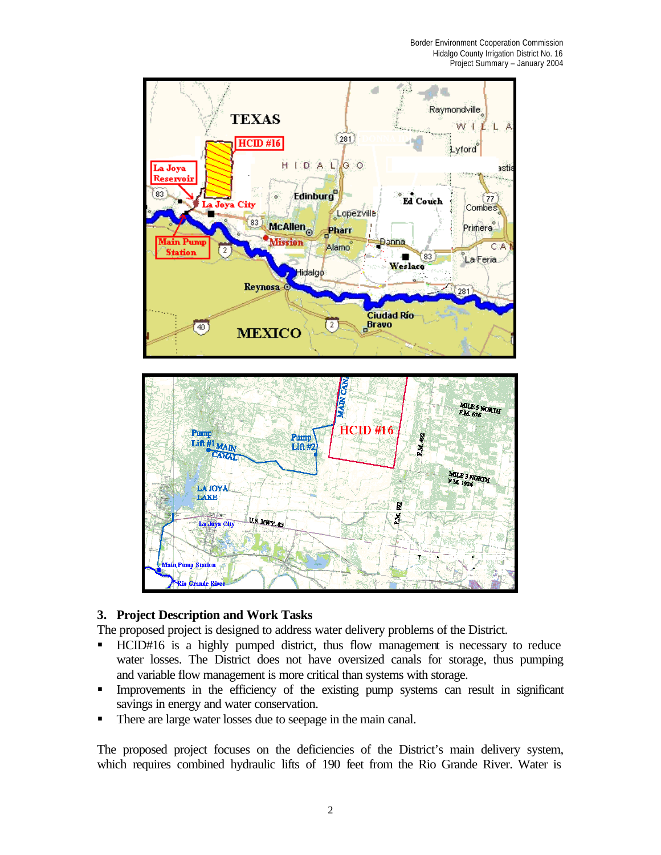

## **3. Project Description and Work Tasks**

The proposed project is designed to address water delivery problems of the District.

- ß HCID#16 is a highly pumped district, thus flow management is necessary to reduce water losses. The District does not have oversized canals for storage, thus pumping and variable flow management is more critical than systems with storage.
- **Improvements in the efficiency of the existing pump systems can result in significant** savings in energy and water conservation.
- There are large water losses due to seepage in the main canal.

The proposed project focuses on the deficiencies of the District's main delivery system, which requires combined hydraulic lifts of 190 feet from the Rio Grande River. Water is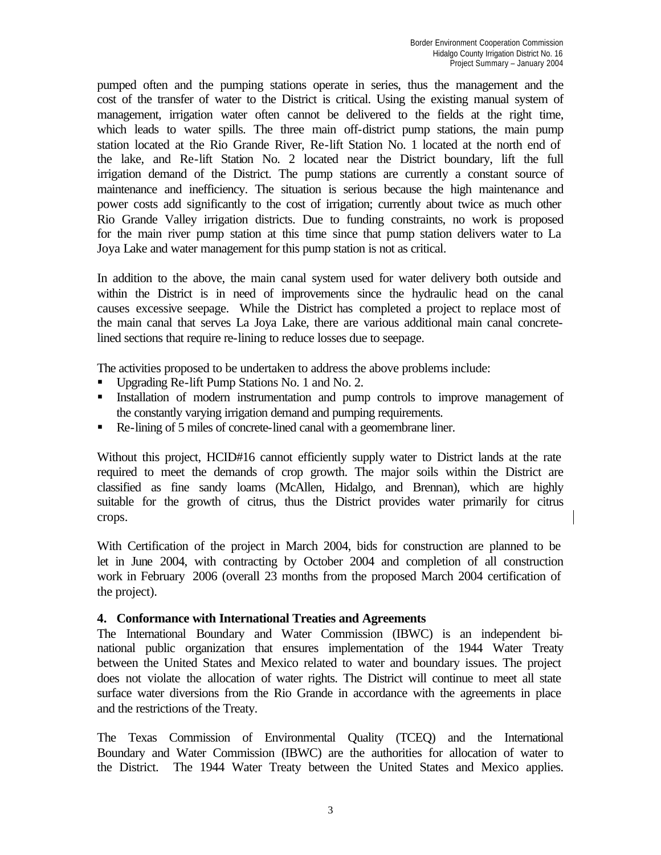pumped often and the pumping stations operate in series, thus the management and the cost of the transfer of water to the District is critical. Using the existing manual system of management, irrigation water often cannot be delivered to the fields at the right time, which leads to water spills. The three main off-district pump stations, the main pump station located at the Rio Grande River, Re-lift Station No. 1 located at the north end of the lake, and Re-lift Station No. 2 located near the District boundary, lift the full irrigation demand of the District. The pump stations are currently a constant source of maintenance and inefficiency. The situation is serious because the high maintenance and power costs add significantly to the cost of irrigation; currently about twice as much other Rio Grande Valley irrigation districts. Due to funding constraints, no work is proposed for the main river pump station at this time since that pump station delivers water to La Joya Lake and water management for this pump station is not as critical.

In addition to the above, the main canal system used for water delivery both outside and within the District is in need of improvements since the hydraulic head on the canal causes excessive seepage. While the District has completed a project to replace most of the main canal that serves La Joya Lake, there are various additional main canal concretelined sections that require re-lining to reduce losses due to seepage.

The activities proposed to be undertaken to address the above problems include:

- Upgrading Re-lift Pump Stations No. 1 and No. 2.
- Installation of modern instrumentation and pump controls to improve management of the constantly varying irrigation demand and pumping requirements.
- Re-lining of 5 miles of concrete-lined canal with a geomembrane liner.

Without this project, HCID#16 cannot efficiently supply water to District lands at the rate required to meet the demands of crop growth. The major soils within the District are classified as fine sandy loams (McAllen, Hidalgo, and Brennan), which are highly suitable for the growth of citrus, thus the District provides water primarily for citrus crops.

With Certification of the project in March 2004, bids for construction are planned to be let in June 2004, with contracting by October 2004 and completion of all construction work in February 2006 (overall 23 months from the proposed March 2004 certification of the project).

#### **4. Conformance with International Treaties and Agreements**

The International Boundary and Water Commission (IBWC) is an independent binational public organization that ensures implementation of the 1944 Water Treaty between the United States and Mexico related to water and boundary issues. The project does not violate the allocation of water rights. The District will continue to meet all state surface water diversions from the Rio Grande in accordance with the agreements in place and the restrictions of the Treaty.

The Texas Commission of Environmental Quality (TCEQ) and the International Boundary and Water Commission (IBWC) are the authorities for allocation of water to the District. The 1944 Water Treaty between the United States and Mexico applies.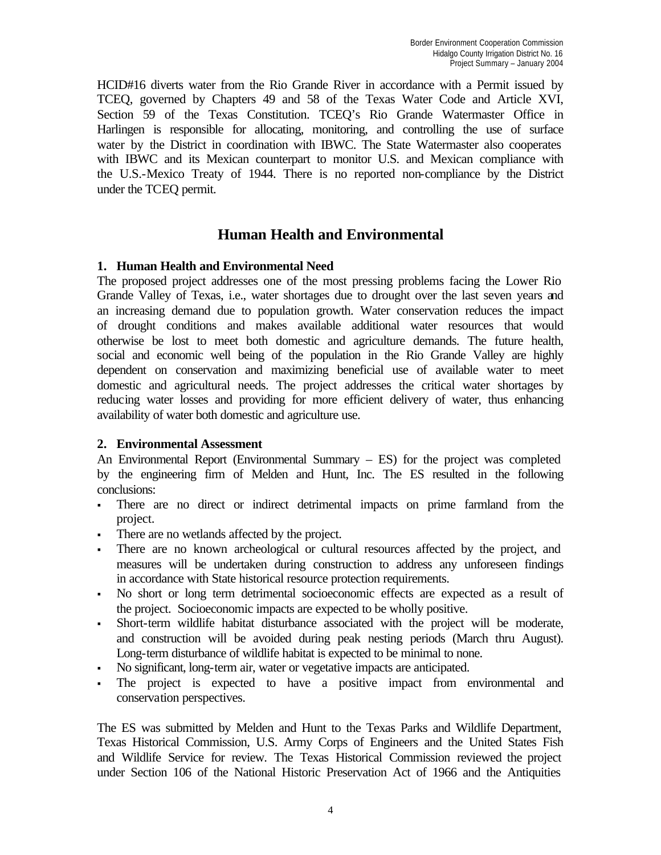HCID#16 diverts water from the Rio Grande River in accordance with a Permit issued by TCEQ, governed by Chapters 49 and 58 of the Texas Water Code and Article XVI, Section 59 of the Texas Constitution. TCEQ's Rio Grande Watermaster Office in Harlingen is responsible for allocating, monitoring, and controlling the use of surface water by the District in coordination with IBWC. The State Watermaster also cooperates with IBWC and its Mexican counterpart to monitor U.S. and Mexican compliance with the U.S.-Mexico Treaty of 1944. There is no reported non-compliance by the District under the TCEQ permit.

## **Human Health and Environmental**

## **1. Human Health and Environmental Need**

The proposed project addresses one of the most pressing problems facing the Lower Rio Grande Valley of Texas, i.e., water shortages due to drought over the last seven years and an increasing demand due to population growth. Water conservation reduces the impact of drought conditions and makes available additional water resources that would otherwise be lost to meet both domestic and agriculture demands. The future health, social and economic well being of the population in the Rio Grande Valley are highly dependent on conservation and maximizing beneficial use of available water to meet domestic and agricultural needs. The project addresses the critical water shortages by reducing water losses and providing for more efficient delivery of water, thus enhancing availability of water both domestic and agriculture use.

## **2. Environmental Assessment**

An Environmental Report (Environmental Summary – ES) for the project was completed by the engineering firm of Melden and Hunt, Inc. The ES resulted in the following conclusions:

- <sup>ß</sup> There are no direct or indirect detrimental impacts on prime farmland from the project.
- There are no wetlands affected by the project.
- <sup>ß</sup> There are no known archeological or cultural resources affected by the project, and measures will be undertaken during construction to address any unforeseen findings in accordance with State historical resource protection requirements.
- <sup>ß</sup> No short or long term detrimental socioeconomic effects are expected as a result of the project. Socioeconomic impacts are expected to be wholly positive.
- <sup>ß</sup> Short-term wildlife habitat disturbance associated with the project will be moderate, and construction will be avoided during peak nesting periods (March thru August). Long-term disturbance of wildlife habitat is expected to be minimal to none.
- No significant, long-term air, water or vegetative impacts are anticipated.
- The project is expected to have a positive impact from environmental and conservation perspectives.

The ES was submitted by Melden and Hunt to the Texas Parks and Wildlife Department, Texas Historical Commission, U.S. Army Corps of Engineers and the United States Fish and Wildlife Service for review. The Texas Historical Commission reviewed the project under Section 106 of the National Historic Preservation Act of 1966 and the Antiquities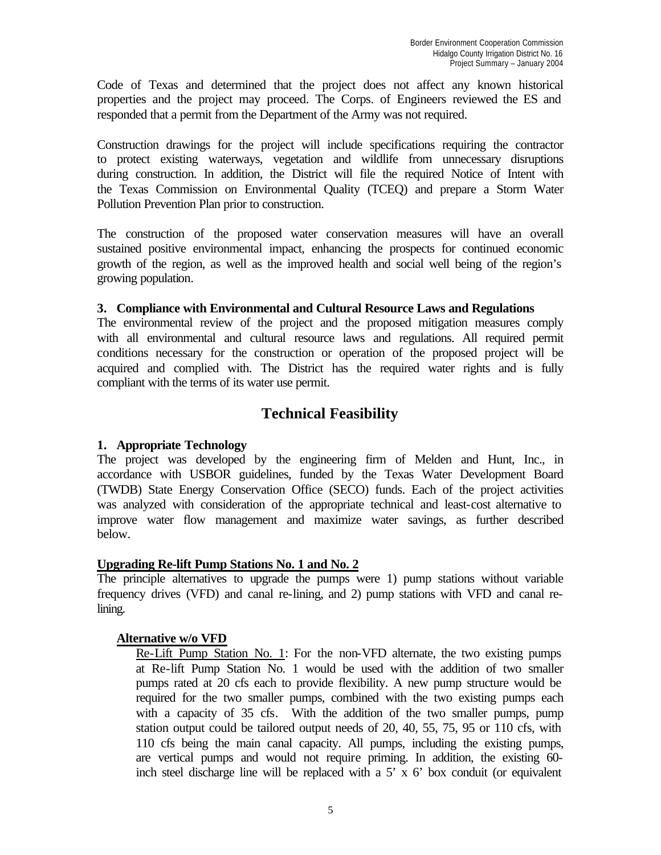Code of Texas and determined that the project does not affect any known historical properties and the project may proceed. The Corps. of Engineers reviewed the ES and responded that a permit from the Department of the Army was not required.

Construction drawings for the project will include specifications requiring the contractor to protect existing waterways, vegetation and wildlife from unnecessary disruptions during construction. In addition, the District will file the required Notice of Intent with the Texas Commission on Environmental Quality (TCEQ) and prepare a Storm Water Pollution Prevention Plan prior to construction.

The construction of the proposed water conservation measures will have an overall sustained positive environmental impact, enhancing the prospects for continued economic growth of the region, as well as the improved health and social well being of the region's growing population.

#### **3. Compliance with Environmental and Cultural Resource Laws and Regulations**

The environmental review of the project and the proposed mitigation measures comply with all environmental and cultural resource laws and regulations. All required permit conditions necessary for the construction or operation of the proposed project will be acquired and complied with. The District has the required water rights and is fully compliant with the terms of its water use permit.

## **Technical Feasibility**

## **1. Appropriate Technology**

The project was developed by the engineering firm of Melden and Hunt, Inc., in accordance with USBOR guidelines, funded by the Texas Water Development Board (TWDB) State Energy Conservation Office (SECO) funds. Each of the project activities was analyzed with consideration of the appropriate technical and least-cost alternative to improve water flow management and maximize water savings, as further described below.

## **Upgrading Re-lift Pump Stations No. 1 and No. 2**

The principle alternatives to upgrade the pumps were 1) pump stations without variable frequency drives (VFD) and canal re-lining, and 2) pump stations with VFD and canal relining.

## **Alternative w/o VFD**

Re-Lift Pump Station No. 1: For the non-VFD alternate, the two existing pumps at Re-lift Pump Station No. 1 would be used with the addition of two smaller pumps rated at 20 cfs each to provide flexibility. A new pump structure would be required for the two smaller pumps, combined with the two existing pumps each with a capacity of 35 cfs. With the addition of the two smaller pumps, pump station output could be tailored output needs of 20, 40, 55, 75, 95 or 110 cfs, with 110 cfs being the main canal capacity. All pumps, including the existing pumps, are vertical pumps and would not require priming. In addition, the existing 60 inch steel discharge line will be replaced with a  $5' \times 6'$  box conduit (or equivalent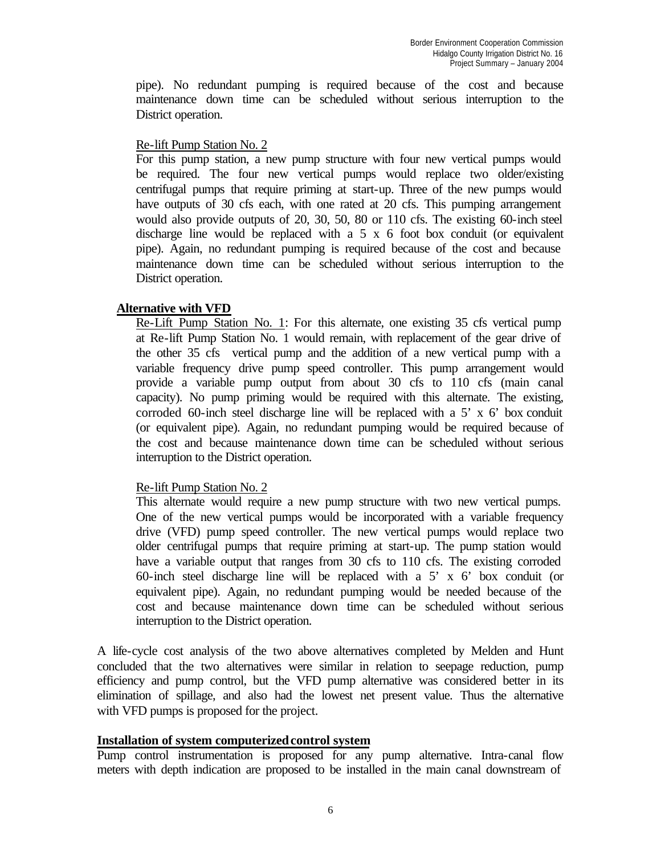pipe). No redundant pumping is required because of the cost and because maintenance down time can be scheduled without serious interruption to the District operation.

#### Re-lift Pump Station No. 2

For this pump station, a new pump structure with four new vertical pumps would be required. The four new vertical pumps would replace two older/existing centrifugal pumps that require priming at start-up. Three of the new pumps would have outputs of 30 cfs each, with one rated at 20 cfs. This pumping arrangement would also provide outputs of 20, 30, 50, 80 or 110 cfs. The existing 60-inch steel discharge line would be replaced with a 5 x 6 foot box conduit (or equivalent pipe). Again, no redundant pumping is required because of the cost and because maintenance down time can be scheduled without serious interruption to the District operation.

#### **Alternative with VFD**

Re-Lift Pump Station No. 1: For this alternate, one existing 35 cfs vertical pump at Re-lift Pump Station No. 1 would remain, with replacement of the gear drive of the other 35 cfs vertical pump and the addition of a new vertical pump with a variable frequency drive pump speed controller. This pump arrangement would provide a variable pump output from about 30 cfs to 110 cfs (main canal capacity). No pump priming would be required with this alternate. The existing, corroded 60-inch steel discharge line will be replaced with a 5' x 6' box conduit (or equivalent pipe). Again, no redundant pumping would be required because of the cost and because maintenance down time can be scheduled without serious interruption to the District operation.

#### Re-lift Pump Station No. 2

This alternate would require a new pump structure with two new vertical pumps. One of the new vertical pumps would be incorporated with a variable frequency drive (VFD) pump speed controller. The new vertical pumps would replace two older centrifugal pumps that require priming at start-up. The pump station would have a variable output that ranges from 30 cfs to 110 cfs. The existing corroded 60-inch steel discharge line will be replaced with a 5' x 6' box conduit (or equivalent pipe). Again, no redundant pumping would be needed because of the cost and because maintenance down time can be scheduled without serious interruption to the District operation.

A life-cycle cost analysis of the two above alternatives completed by Melden and Hunt concluded that the two alternatives were similar in relation to seepage reduction, pump efficiency and pump control, but the VFD pump alternative was considered better in its elimination of spillage, and also had the lowest net present value. Thus the alternative with VFD pumps is proposed for the project.

#### **Installation of system computerized control system**

Pump control instrumentation is proposed for any pump alternative. Intra-canal flow meters with depth indication are proposed to be installed in the main canal downstream of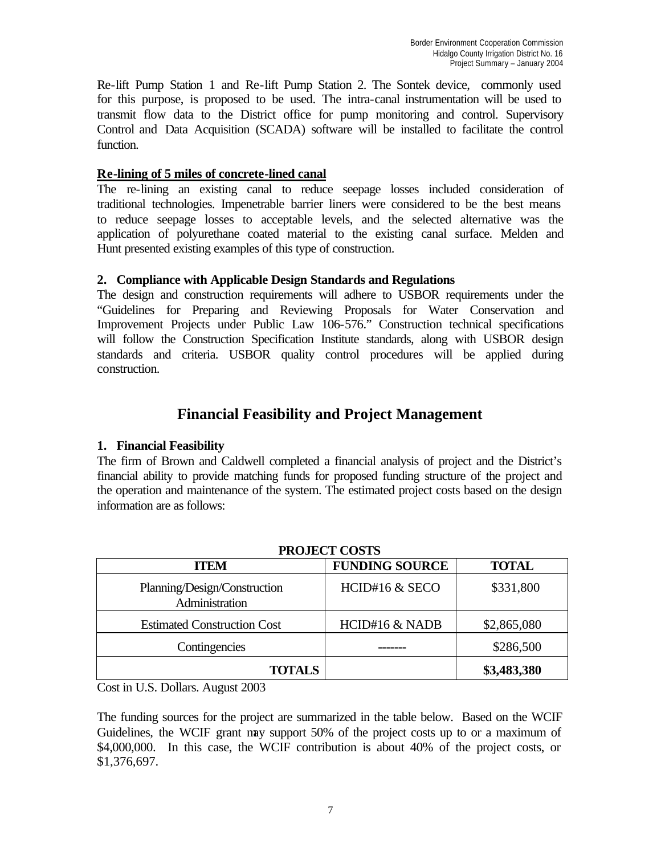Re-lift Pump Station 1 and Re-lift Pump Station 2. The Sontek device, commonly used for this purpose, is proposed to be used. The intra-canal instrumentation will be used to transmit flow data to the District office for pump monitoring and control. Supervisory Control and Data Acquisition (SCADA) software will be installed to facilitate the control function.

#### **Re-lining of 5 miles of concrete-lined canal**

The re-lining an existing canal to reduce seepage losses included consideration of traditional technologies. Impenetrable barrier liners were considered to be the best means to reduce seepage losses to acceptable levels, and the selected alternative was the application of polyurethane coated material to the existing canal surface. Melden and Hunt presented existing examples of this type of construction.

#### **2. Compliance with Applicable Design Standards and Regulations**

The design and construction requirements will adhere to USBOR requirements under the "Guidelines for Preparing and Reviewing Proposals for Water Conservation and Improvement Projects under Public Law 106-576." Construction technical specifications will follow the Construction Specification Institute standards, along with USBOR design standards and criteria. USBOR quality control procedures will be applied during construction.

## **Financial Feasibility and Project Management**

## **1. Financial Feasibility**

The firm of Brown and Caldwell completed a financial analysis of project and the District's financial ability to provide matching funds for proposed funding structure of the project and the operation and maintenance of the system. The estimated project costs based on the design information are as follows:

| TROJECI CODID                                  |                       |              |  |  |
|------------------------------------------------|-----------------------|--------------|--|--|
| <b>ITEM</b>                                    | <b>FUNDING SOURCE</b> | <b>TOTAL</b> |  |  |
| Planning/Design/Construction<br>Administration | HCID#16 & SECO        | \$331,800    |  |  |
| <b>Estimated Construction Cost</b>             | HCID#16 & NADB        | \$2,865,080  |  |  |
| Contingencies                                  |                       | \$286,500    |  |  |
| <b>TOTALS</b>                                  |                       | \$3,483,380  |  |  |

## **PROJECT COSTS**

Cost in U.S. Dollars. August 2003

The funding sources for the project are summarized in the table below. Based on the WCIF Guidelines, the WCIF grant may support 50% of the project costs up to or a maximum of \$4,000,000. In this case, the WCIF contribution is about 40% of the project costs, or \$1,376,697.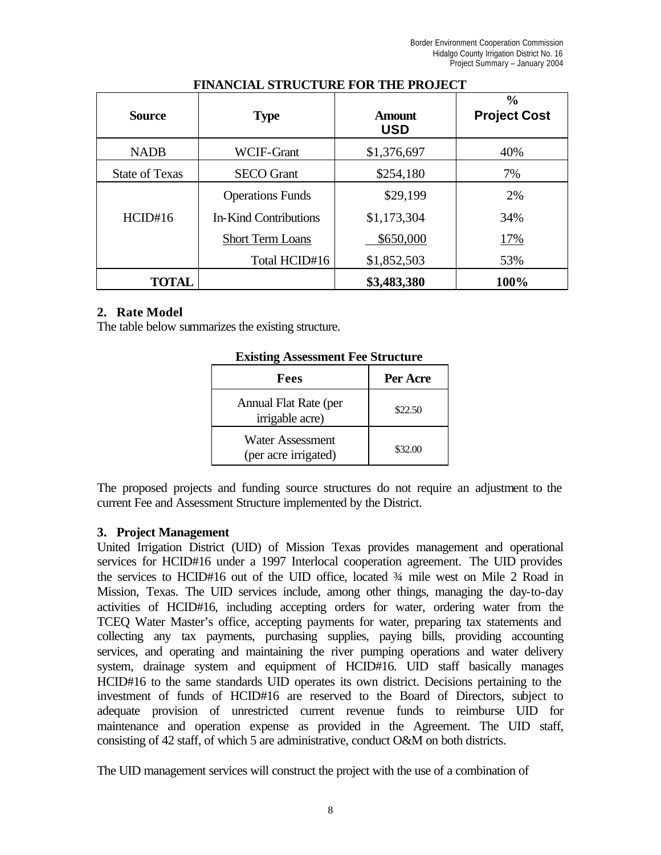| Source                | <b>Type</b>             | <b>Amount</b><br><b>USD</b> | $\frac{0}{0}$<br><b>Project Cost</b> |
|-----------------------|-------------------------|-----------------------------|--------------------------------------|
| <b>NADB</b>           | WCIF-Grant              | \$1,376,697                 | 40%                                  |
| <b>State of Texas</b> | <b>SECO</b> Grant       | \$254,180                   | 7%                                   |
|                       | <b>Operations Funds</b> | \$29,199                    | 2%                                   |
| HCID#16               | In-Kind Contributions   | \$1,173,304                 | 34%                                  |
|                       | <b>Short Term Loans</b> | \$650,000                   | 17%                                  |
|                       | Total HCID#16           | \$1,852,503                 | 53%                                  |
| TOTAL                 |                         | \$3,483,380                 | 100%                                 |

#### **FINANCIAL STRUCTURE FOR THE PROJECT**

#### **2. Rate Model**

The table below summarizes the existing structure.

| Fees                                     | Per Acre |  |  |
|------------------------------------------|----------|--|--|
| Annual Flat Rate (per<br>irrigable acre) | \$22.50  |  |  |
| Water Assessment<br>(per acre irrigated) | \$32.00  |  |  |

**Existing Assessment Fee Structure**

The proposed projects and funding source structures do not require an adjustment to the current Fee and Assessment Structure implemented by the District.

#### **3. Project Management**

United Irrigation District (UID) of Mission Texas provides management and operational services for HCID#16 under a 1997 Interlocal cooperation agreement. The UID provides the services to HCID#16 out of the UID office, located ¾ mile west on Mile 2 Road in Mission, Texas. The UID services include, among other things, managing the day-to-day activities of HCID#16, including accepting orders for water, ordering water from the TCEQ Water Master's office, accepting payments for water, preparing tax statements and collecting any tax payments, purchasing supplies, paying bills, providing accounting services, and operating and maintaining the river pumping operations and water delivery system, drainage system and equipment of HCID#16. UID staff basically manages HCID#16 to the same standards UID operates its own district. Decisions pertaining to the investment of funds of HCID#16 are reserved to the Board of Directors, subject to adequate provision of unrestricted current revenue funds to reimburse UID for maintenance and operation expense as provided in the Agreement. The UID staff, consisting of 42 staff, of which 5 are administrative, conduct O&M on both districts.

The UID management services will construct the project with the use of a combination of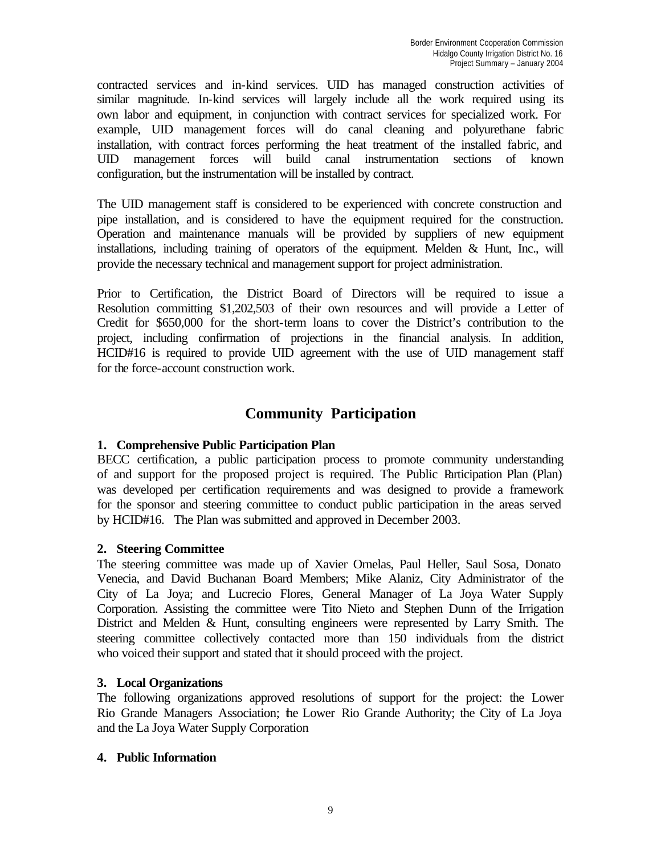contracted services and in-kind services. UID has managed construction activities of similar magnitude. In-kind services will largely include all the work required using its own labor and equipment, in conjunction with contract services for specialized work. For example, UID management forces will do canal cleaning and polyurethane fabric installation, with contract forces performing the heat treatment of the installed fabric, and UID management forces will build canal instrumentation sections of known configuration, but the instrumentation will be installed by contract.

The UID management staff is considered to be experienced with concrete construction and pipe installation, and is considered to have the equipment required for the construction. Operation and maintenance manuals will be provided by suppliers of new equipment installations, including training of operators of the equipment. Melden & Hunt, Inc., will provide the necessary technical and management support for project administration.

Prior to Certification, the District Board of Directors will be required to issue a Resolution committing \$1,202,503 of their own resources and will provide a Letter of Credit for \$650,000 for the short-term loans to cover the District's contribution to the project, including confirmation of projections in the financial analysis. In addition, HCID#16 is required to provide UID agreement with the use of UID management staff for the force-account construction work.

## **Community Participation**

## **1. Comprehensive Public Participation Plan**

BECC certification, a public participation process to promote community understanding of and support for the proposed project is required. The Public Participation Plan (Plan) was developed per certification requirements and was designed to provide a framework for the sponsor and steering committee to conduct public participation in the areas served by HCID#16. The Plan was submitted and approved in December 2003.

## **2. Steering Committee**

The steering committee was made up of Xavier Ornelas, Paul Heller, Saul Sosa, Donato Venecia, and David Buchanan Board Members; Mike Alaniz, City Administrator of the City of La Joya; and Lucrecio Flores, General Manager of La Joya Water Supply Corporation. Assisting the committee were Tito Nieto and Stephen Dunn of the Irrigation District and Melden & Hunt, consulting engineers were represented by Larry Smith. The steering committee collectively contacted more than 150 individuals from the district who voiced their support and stated that it should proceed with the project.

## **3. Local Organizations**

The following organizations approved resolutions of support for the project: the Lower Rio Grande Managers Association; the Lower Rio Grande Authority; the City of La Joya and the La Joya Water Supply Corporation

## **4. Public Information**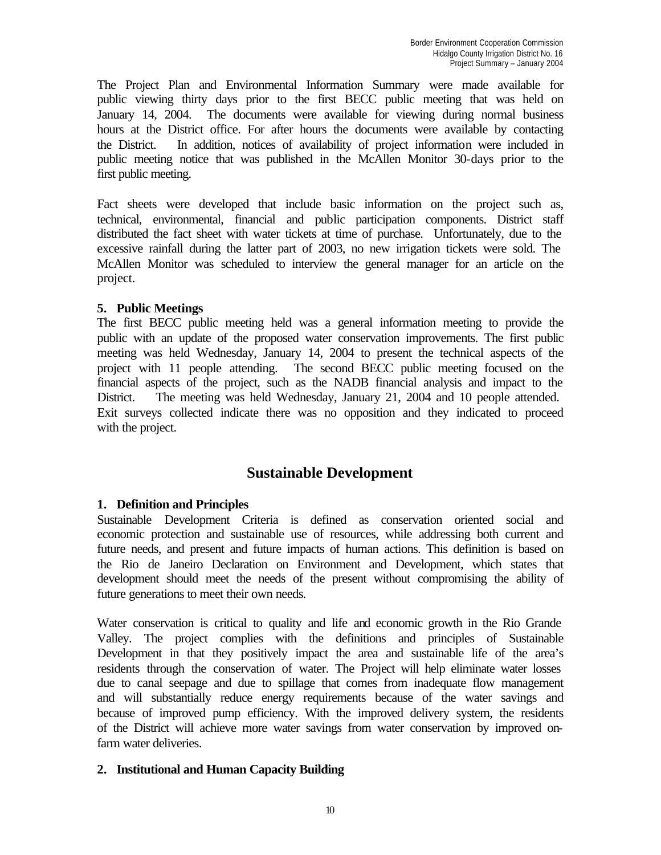The Project Plan and Environmental Information Summary were made available for public viewing thirty days prior to the first BECC public meeting that was held on January 14, 2004. The documents were available for viewing during normal business hours at the District office. For after hours the documents were available by contacting the District. In addition, notices of availability of project information were included in public meeting notice that was published in the McAllen Monitor 30-days prior to the first public meeting.

Fact sheets were developed that include basic information on the project such as, technical, environmental, financial and public participation components. District staff distributed the fact sheet with water tickets at time of purchase. Unfortunately, due to the excessive rainfall during the latter part of 2003, no new irrigation tickets were sold. The McAllen Monitor was scheduled to interview the general manager for an article on the project.

## **5. Public Meetings**

The first BECC public meeting held was a general information meeting to provide the public with an update of the proposed water conservation improvements. The first public meeting was held Wednesday, January 14, 2004 to present the technical aspects of the project with 11 people attending. The second BECC public meeting focused on the financial aspects of the project, such as the NADB financial analysis and impact to the District. The meeting was held Wednesday, January 21, 2004 and 10 people attended. Exit surveys collected indicate there was no opposition and they indicated to proceed with the project.

## **Sustainable Development**

## **1. Definition and Principles**

Sustainable Development Criteria is defined as conservation oriented social and economic protection and sustainable use of resources, while addressing both current and future needs, and present and future impacts of human actions. This definition is based on the Rio de Janeiro Declaration on Environment and Development, which states that development should meet the needs of the present without compromising the ability of future generations to meet their own needs.

Water conservation is critical to quality and life and economic growth in the Rio Grande Valley. The project complies with the definitions and principles of Sustainable Development in that they positively impact the area and sustainable life of the area's residents through the conservation of water. The Project will help eliminate water losses due to canal seepage and due to spillage that comes from inadequate flow management and will substantially reduce energy requirements because of the water savings and because of improved pump efficiency. With the improved delivery system, the residents of the District will achieve more water savings from water conservation by improved onfarm water deliveries.

## **2. Institutional and Human Capacity Building**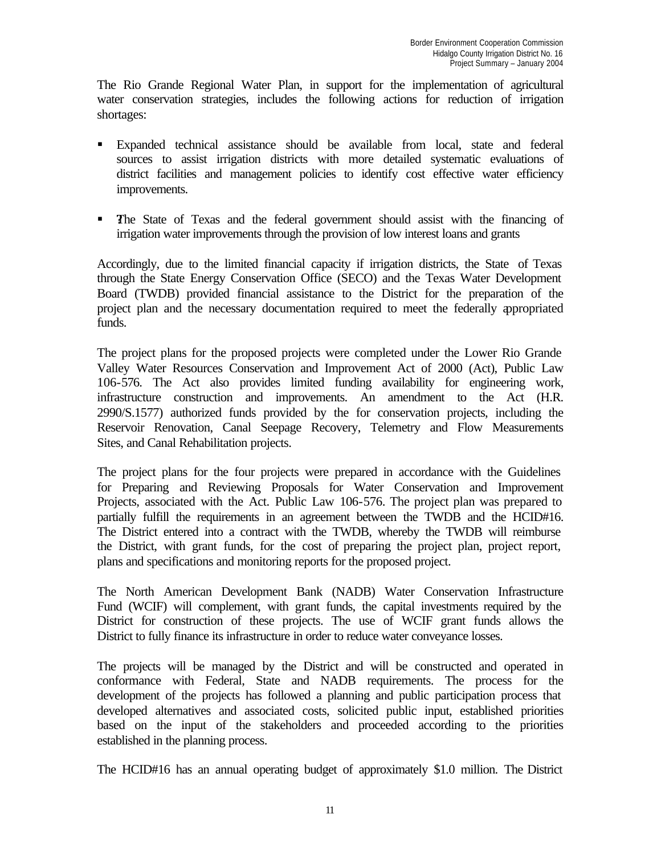The Rio Grande Regional Water Plan, in support for the implementation of agricultural water conservation strategies, includes the following actions for reduction of irrigation shortages:

- ß Expanded technical assistance should be available from local, state and federal sources to assist irrigation districts with more detailed systematic evaluations of district facilities and management policies to identify cost effective water efficiency improvements.
- The State of Texas and the federal government should assist with the financing of irrigation water improvements through the provision of low interest loans and grants

Accordingly, due to the limited financial capacity if irrigation districts, the State of Texas through the State Energy Conservation Office (SECO) and the Texas Water Development Board (TWDB) provided financial assistance to the District for the preparation of the project plan and the necessary documentation required to meet the federally appropriated funds.

The project plans for the proposed projects were completed under the Lower Rio Grande Valley Water Resources Conservation and Improvement Act of 2000 (Act), Public Law 106-576. The Act also provides limited funding availability for engineering work, infrastructure construction and improvements. An amendment to the Act (H.R. 2990/S.1577) authorized funds provided by the for conservation projects, including the Reservoir Renovation, Canal Seepage Recovery, Telemetry and Flow Measurements Sites, and Canal Rehabilitation projects.

The project plans for the four projects were prepared in accordance with the Guidelines for Preparing and Reviewing Proposals for Water Conservation and Improvement Projects, associated with the Act. Public Law 106-576. The project plan was prepared to partially fulfill the requirements in an agreement between the TWDB and the HCID#16. The District entered into a contract with the TWDB, whereby the TWDB will reimburse the District, with grant funds, for the cost of preparing the project plan, project report, plans and specifications and monitoring reports for the proposed project.

The North American Development Bank (NADB) Water Conservation Infrastructure Fund (WCIF) will complement, with grant funds, the capital investments required by the District for construction of these projects. The use of WCIF grant funds allows the District to fully finance its infrastructure in order to reduce water conveyance losses.

The projects will be managed by the District and will be constructed and operated in conformance with Federal, State and NADB requirements. The process for the development of the projects has followed a planning and public participation process that developed alternatives and associated costs, solicited public input, established priorities based on the input of the stakeholders and proceeded according to the priorities established in the planning process.

The HCID#16 has an annual operating budget of approximately \$1.0 million. The District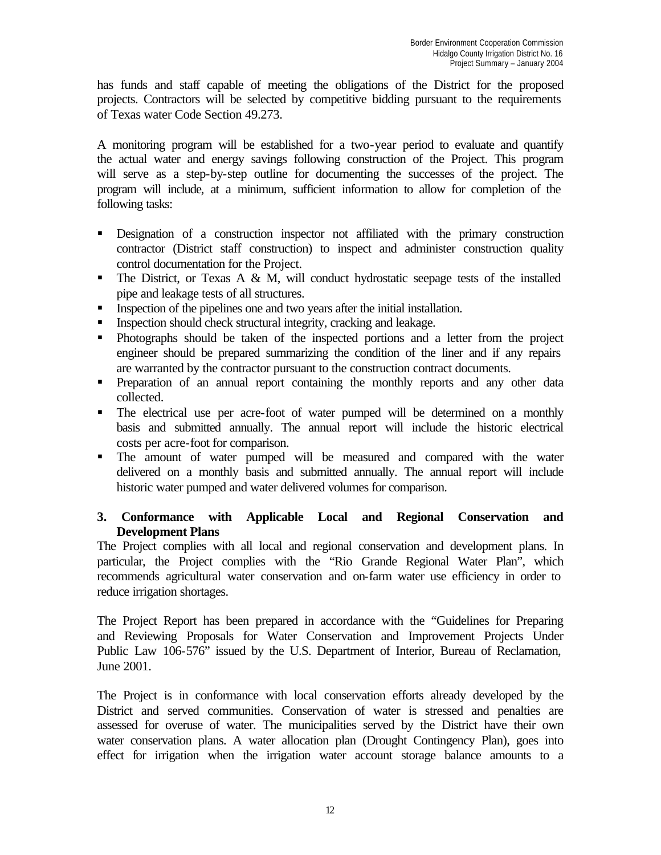has funds and staff capable of meeting the obligations of the District for the proposed projects. Contractors will be selected by competitive bidding pursuant to the requirements of Texas water Code Section 49.273.

A monitoring program will be established for a two-year period to evaluate and quantify the actual water and energy savings following construction of the Project. This program will serve as a step-by-step outline for documenting the successes of the project. The program will include, at a minimum, sufficient information to allow for completion of the following tasks:

- **B** Designation of a construction inspector not affiliated with the primary construction contractor (District staff construction) to inspect and administer construction quality control documentation for the Project.
- $\blacksquare$  The District, or Texas A & M, will conduct hydrostatic seepage tests of the installed pipe and leakage tests of all structures.
- Inspection of the pipelines one and two years after the initial installation.
- $\blacksquare$  Inspection should check structural integrity, cracking and leakage.
- Photographs should be taken of the inspected portions and a letter from the project engineer should be prepared summarizing the condition of the liner and if any repairs are warranted by the contractor pursuant to the construction contract documents.
- **•** Preparation of an annual report containing the monthly reports and any other data collected.
- The electrical use per acre-foot of water pumped will be determined on a monthly basis and submitted annually. The annual report will include the historic electrical costs per acre-foot for comparison.
- The amount of water pumped will be measured and compared with the water delivered on a monthly basis and submitted annually. The annual report will include historic water pumped and water delivered volumes for comparison.

## **3. Conformance with Applicable Local and Regional Conservation and Development Plans**

The Project complies with all local and regional conservation and development plans. In particular, the Project complies with the "Rio Grande Regional Water Plan", which recommends agricultural water conservation and on-farm water use efficiency in order to reduce irrigation shortages.

The Project Report has been prepared in accordance with the "Guidelines for Preparing and Reviewing Proposals for Water Conservation and Improvement Projects Under Public Law 106-576" issued by the U.S. Department of Interior, Bureau of Reclamation, June 2001.

The Project is in conformance with local conservation efforts already developed by the District and served communities. Conservation of water is stressed and penalties are assessed for overuse of water. The municipalities served by the District have their own water conservation plans. A water allocation plan (Drought Contingency Plan), goes into effect for irrigation when the irrigation water account storage balance amounts to a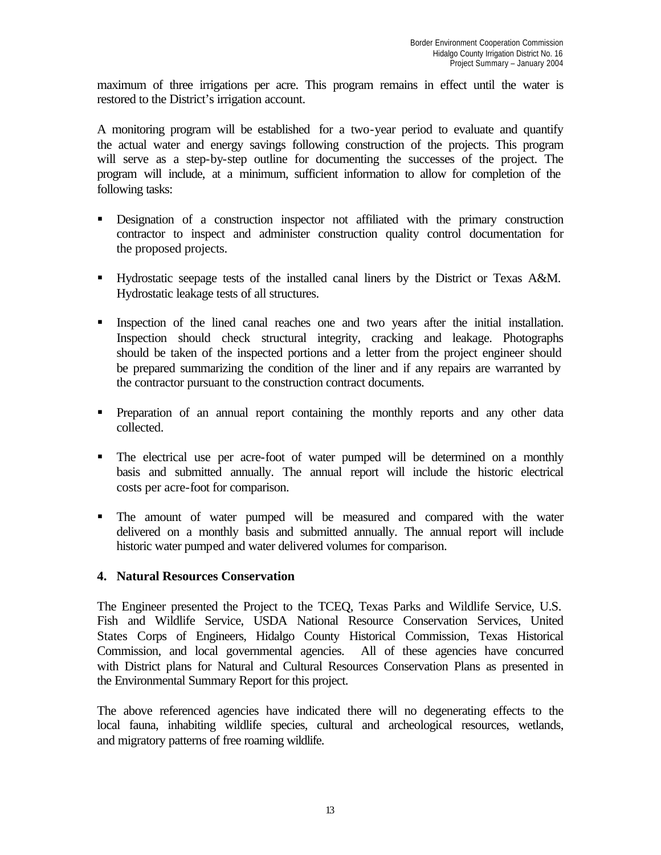maximum of three irrigations per acre. This program remains in effect until the water is restored to the District's irrigation account.

A monitoring program will be established for a two-year period to evaluate and quantify the actual water and energy savings following construction of the projects. This program will serve as a step-by-step outline for documenting the successes of the project. The program will include, at a minimum, sufficient information to allow for completion of the following tasks:

- **B** Designation of a construction inspector not affiliated with the primary construction contractor to inspect and administer construction quality control documentation for the proposed projects.
- Hydrostatic seepage tests of the installed canal liners by the District or Texas A&M. Hydrostatic leakage tests of all structures.
- Inspection of the lined canal reaches one and two years after the initial installation. Inspection should check structural integrity, cracking and leakage. Photographs should be taken of the inspected portions and a letter from the project engineer should be prepared summarizing the condition of the liner and if any repairs are warranted by the contractor pursuant to the construction contract documents.
- Preparation of an annual report containing the monthly reports and any other data collected.
- The electrical use per acre-foot of water pumped will be determined on a monthly basis and submitted annually. The annual report will include the historic electrical costs per acre-foot for comparison.
- The amount of water pumped will be measured and compared with the water delivered on a monthly basis and submitted annually. The annual report will include historic water pumped and water delivered volumes for comparison.

## **4. Natural Resources Conservation**

The Engineer presented the Project to the TCEQ, Texas Parks and Wildlife Service, U.S. Fish and Wildlife Service, USDA National Resource Conservation Services, United States Corps of Engineers, Hidalgo County Historical Commission, Texas Historical Commission, and local governmental agencies. All of these agencies have concurred with District plans for Natural and Cultural Resources Conservation Plans as presented in the Environmental Summary Report for this project.

The above referenced agencies have indicated there will no degenerating effects to the local fauna, inhabiting wildlife species, cultural and archeological resources, wetlands, and migratory patterns of free roaming wildlife.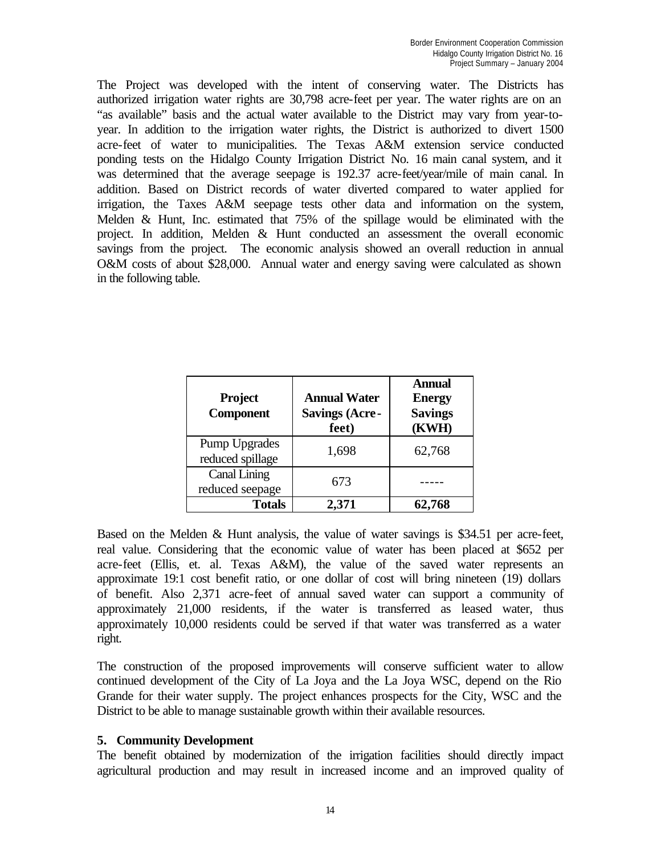The Project was developed with the intent of conserving water. The Districts has authorized irrigation water rights are 30,798 acre-feet per year. The water rights are on an "as available" basis and the actual water available to the District may vary from year-toyear. In addition to the irrigation water rights, the District is authorized to divert 1500 acre-feet of water to municipalities. The Texas A&M extension service conducted ponding tests on the Hidalgo County Irrigation District No. 16 main canal system, and it was determined that the average seepage is 192.37 acre-feet/year/mile of main canal. In addition. Based on District records of water diverted compared to water applied for irrigation, the Taxes A&M seepage tests other data and information on the system, Melden & Hunt, Inc. estimated that 75% of the spillage would be eliminated with the project. In addition, Melden & Hunt conducted an assessment the overall economic savings from the project. The economic analysis showed an overall reduction in annual O&M costs of about \$28,000. Annual water and energy saving were calculated as shown in the following table.

| <b>Project</b><br><b>Component</b>       | <b>Annual Water</b><br><b>Savings (Acre-</b><br>feet) | <b>Annual</b><br><b>Energy</b><br><b>Savings</b><br>(KWH) |
|------------------------------------------|-------------------------------------------------------|-----------------------------------------------------------|
| <b>Pump Upgrades</b><br>reduced spillage | 1,698                                                 | 62,768                                                    |
| <b>Canal Lining</b><br>reduced seepage   | 673                                                   |                                                           |
| <b>Totals</b>                            | 2,371                                                 | 62,768                                                    |

Based on the Melden & Hunt analysis, the value of water savings is \$34.51 per acre-feet, real value. Considering that the economic value of water has been placed at \$652 per acre-feet (Ellis, et. al. Texas A&M), the value of the saved water represents an approximate 19:1 cost benefit ratio, or one dollar of cost will bring nineteen (19) dollars of benefit. Also 2,371 acre-feet of annual saved water can support a community of approximately 21,000 residents, if the water is transferred as leased water, thus approximately 10,000 residents could be served if that water was transferred as a water right.

The construction of the proposed improvements will conserve sufficient water to allow continued development of the City of La Joya and the La Joya WSC, depend on the Rio Grande for their water supply. The project enhances prospects for the City, WSC and the District to be able to manage sustainable growth within their available resources.

#### **5. Community Development**

The benefit obtained by modernization of the irrigation facilities should directly impact agricultural production and may result in increased income and an improved quality of